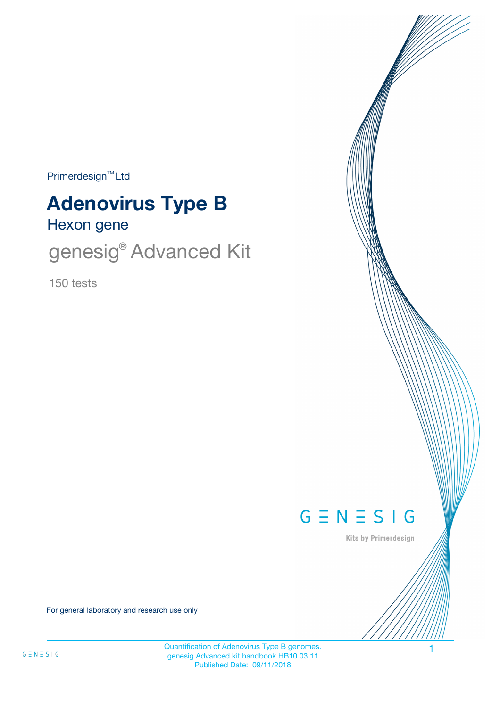$Primerdesign<sup>™</sup>Ltd$ 

# **Adenovirus Type B**

Hexon gene

genesig<sup>®</sup> Advanced Kit

150 tests



Kits by Primerdesign

For general laboratory and research use only

Quantification of Adenovirus Type B genomes. genesig Advanced kit handbook HB10.03.11 Published Date: 09/11/2018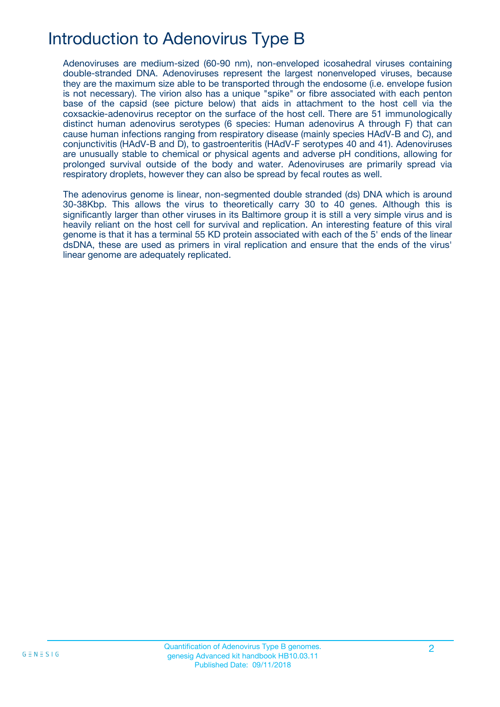### Introduction to Adenovirus Type B

Adenoviruses are medium-sized (60-90 nm), non-enveloped icosahedral viruses containing double-stranded DNA. Adenoviruses represent the largest nonenveloped viruses, because they are the maximum size able to be transported through the endosome (i.e. envelope fusion is not necessary). The virion also has a unique "spike" or fibre associated with each penton base of the capsid (see picture below) that aids in attachment to the host cell via the coxsackie-adenovirus receptor on the surface of the host cell. There are 51 immunologically distinct human adenovirus serotypes (6 species: Human adenovirus A through F) that can cause human infections ranging from respiratory disease (mainly species HAdV-B and C), and conjunctivitis (HAdV-B and D), to gastroenteritis (HAdV-F serotypes 40 and 41). Adenoviruses are unusually stable to chemical or physical agents and adverse pH conditions, allowing for prolonged survival outside of the body and water. Adenoviruses are primarily spread via respiratory droplets, however they can also be spread by fecal routes as well.

The adenovirus genome is linear, non-segmented double stranded (ds) DNA which is around 30-38Kbp. This allows the virus to theoretically carry 30 to 40 genes. Although this is significantly larger than other viruses in its Baltimore group it is still a very simple virus and is heavily reliant on the host cell for survival and replication. An interesting feature of this viral genome is that it has a terminal 55 KD protein associated with each of the 5' ends of the linear dsDNA, these are used as primers in viral replication and ensure that the ends of the virus' linear genome are adequately replicated.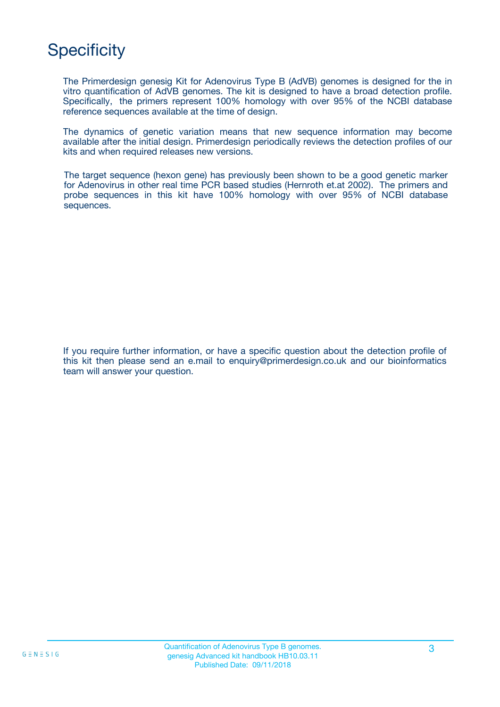## **Specificity**

The Primerdesign genesig Kit for Adenovirus Type B (AdVB) genomes is designed for the in vitro quantification of AdVB genomes. The kit is designed to have a broad detection profile. Specifically, the primers represent 100% homology with over 95% of the NCBI database reference sequences available at the time of design.

The dynamics of genetic variation means that new sequence information may become available after the initial design. Primerdesign periodically reviews the detection profiles of our kits and when required releases new versions.

The target sequence (hexon gene) has previously been shown to be a good genetic marker for Adenovirus in other real time PCR based studies (Hernroth et.at 2002). The primers and probe sequences in this kit have 100% homology with over 95% of NCBI database sequences.

If you require further information, or have a specific question about the detection profile of this kit then please send an e.mail to enquiry@primerdesign.co.uk and our bioinformatics team will answer your question.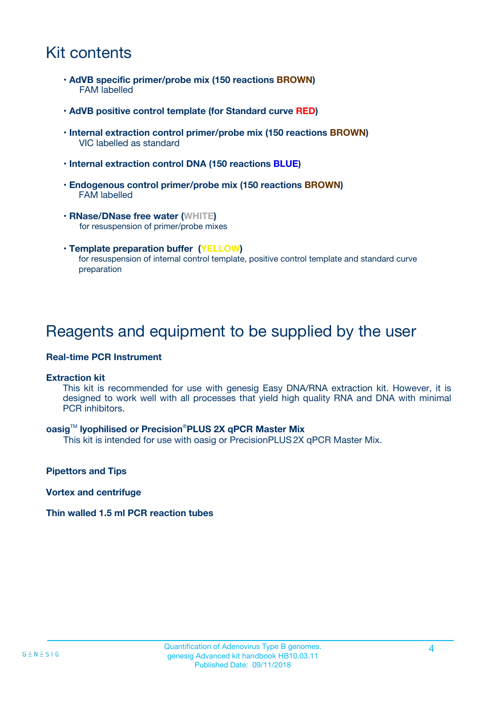### Kit contents

- **AdVB specific primer/probe mix (150 reactions BROWN)** FAM labelled
- **AdVB positive control template (for Standard curve RED)**
- **Internal extraction control primer/probe mix (150 reactions BROWN)** VIC labelled as standard
- **Internal extraction control DNA (150 reactions BLUE)**
- **Endogenous control primer/probe mix (150 reactions BROWN)** FAM labelled
- **RNase/DNase free water (WHITE)** for resuspension of primer/probe mixes
- **Template preparation buffer (YELLOW)** for resuspension of internal control template, positive control template and standard curve preparation

### Reagents and equipment to be supplied by the user

#### **Real-time PCR Instrument**

#### **Extraction kit**

This kit is recommended for use with genesig Easy DNA/RNA extraction kit. However, it is designed to work well with all processes that yield high quality RNA and DNA with minimal PCR inhibitors.

#### **oasig**TM **lyophilised or Precision**®**PLUS 2X qPCR Master Mix**

This kit is intended for use with oasig or PrecisionPLUS2X qPCR Master Mix.

**Pipettors and Tips**

**Vortex and centrifuge**

#### **Thin walled 1.5 ml PCR reaction tubes**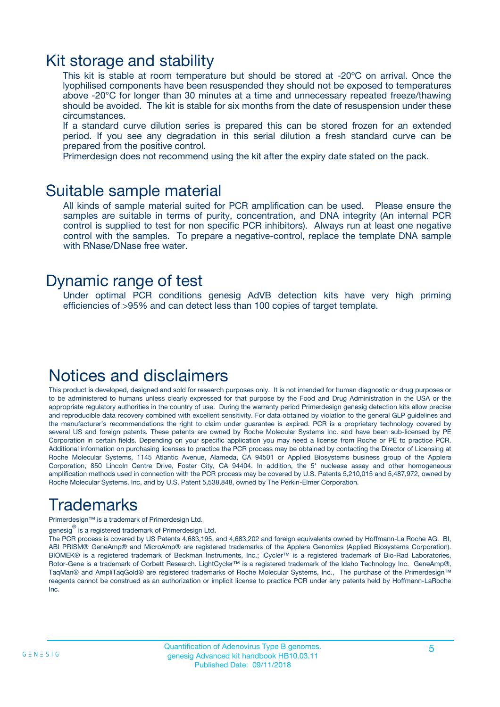### Kit storage and stability

This kit is stable at room temperature but should be stored at -20ºC on arrival. Once the lyophilised components have been resuspended they should not be exposed to temperatures above -20°C for longer than 30 minutes at a time and unnecessary repeated freeze/thawing should be avoided. The kit is stable for six months from the date of resuspension under these circumstances.

If a standard curve dilution series is prepared this can be stored frozen for an extended period. If you see any degradation in this serial dilution a fresh standard curve can be prepared from the positive control.

Primerdesign does not recommend using the kit after the expiry date stated on the pack.

### Suitable sample material

All kinds of sample material suited for PCR amplification can be used. Please ensure the samples are suitable in terms of purity, concentration, and DNA integrity (An internal PCR control is supplied to test for non specific PCR inhibitors). Always run at least one negative control with the samples. To prepare a negative-control, replace the template DNA sample with RNase/DNase free water.

### Dynamic range of test

Under optimal PCR conditions genesig AdVB detection kits have very high priming efficiencies of >95% and can detect less than 100 copies of target template.

### Notices and disclaimers

This product is developed, designed and sold for research purposes only. It is not intended for human diagnostic or drug purposes or to be administered to humans unless clearly expressed for that purpose by the Food and Drug Administration in the USA or the appropriate regulatory authorities in the country of use. During the warranty period Primerdesign genesig detection kits allow precise and reproducible data recovery combined with excellent sensitivity. For data obtained by violation to the general GLP guidelines and the manufacturer's recommendations the right to claim under guarantee is expired. PCR is a proprietary technology covered by several US and foreign patents. These patents are owned by Roche Molecular Systems Inc. and have been sub-licensed by PE Corporation in certain fields. Depending on your specific application you may need a license from Roche or PE to practice PCR. Additional information on purchasing licenses to practice the PCR process may be obtained by contacting the Director of Licensing at Roche Molecular Systems, 1145 Atlantic Avenue, Alameda, CA 94501 or Applied Biosystems business group of the Applera Corporation, 850 Lincoln Centre Drive, Foster City, CA 94404. In addition, the 5' nuclease assay and other homogeneous amplification methods used in connection with the PCR process may be covered by U.S. Patents 5,210,015 and 5,487,972, owned by Roche Molecular Systems, Inc, and by U.S. Patent 5,538,848, owned by The Perkin-Elmer Corporation.

### Trademarks

Primerdesign™ is a trademark of Primerdesign Ltd.

genesig $^\circledR$  is a registered trademark of Primerdesign Ltd.

The PCR process is covered by US Patents 4,683,195, and 4,683,202 and foreign equivalents owned by Hoffmann-La Roche AG. BI, ABI PRISM® GeneAmp® and MicroAmp® are registered trademarks of the Applera Genomics (Applied Biosystems Corporation). BIOMEK® is a registered trademark of Beckman Instruments, Inc.; iCycler™ is a registered trademark of Bio-Rad Laboratories, Rotor-Gene is a trademark of Corbett Research. LightCycler™ is a registered trademark of the Idaho Technology Inc. GeneAmp®, TaqMan® and AmpliTaqGold® are registered trademarks of Roche Molecular Systems, Inc., The purchase of the Primerdesign™ reagents cannot be construed as an authorization or implicit license to practice PCR under any patents held by Hoffmann-LaRoche Inc.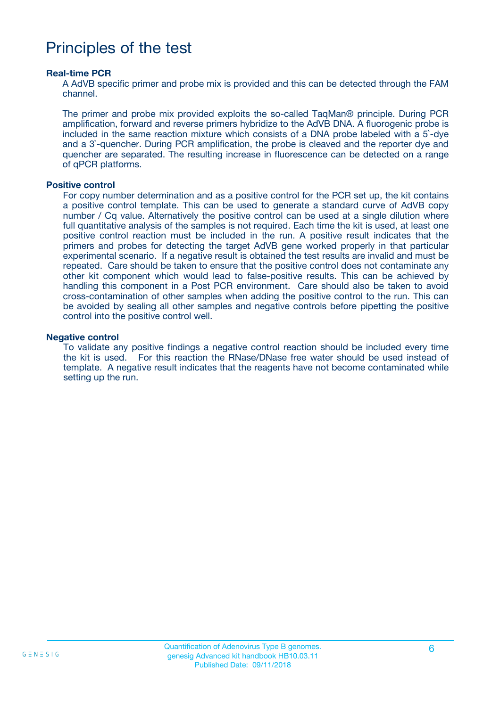### Principles of the test

#### **Real-time PCR**

A AdVB specific primer and probe mix is provided and this can be detected through the FAM channel.

The primer and probe mix provided exploits the so-called TaqMan® principle. During PCR amplification, forward and reverse primers hybridize to the AdVB DNA. A fluorogenic probe is included in the same reaction mixture which consists of a DNA probe labeled with a 5`-dye and a 3`-quencher. During PCR amplification, the probe is cleaved and the reporter dye and quencher are separated. The resulting increase in fluorescence can be detected on a range of qPCR platforms.

#### **Positive control**

For copy number determination and as a positive control for the PCR set up, the kit contains a positive control template. This can be used to generate a standard curve of AdVB copy number / Cq value. Alternatively the positive control can be used at a single dilution where full quantitative analysis of the samples is not required. Each time the kit is used, at least one positive control reaction must be included in the run. A positive result indicates that the primers and probes for detecting the target AdVB gene worked properly in that particular experimental scenario. If a negative result is obtained the test results are invalid and must be repeated. Care should be taken to ensure that the positive control does not contaminate any other kit component which would lead to false-positive results. This can be achieved by handling this component in a Post PCR environment. Care should also be taken to avoid cross-contamination of other samples when adding the positive control to the run. This can be avoided by sealing all other samples and negative controls before pipetting the positive control into the positive control well.

#### **Negative control**

To validate any positive findings a negative control reaction should be included every time the kit is used. For this reaction the RNase/DNase free water should be used instead of template. A negative result indicates that the reagents have not become contaminated while setting up the run.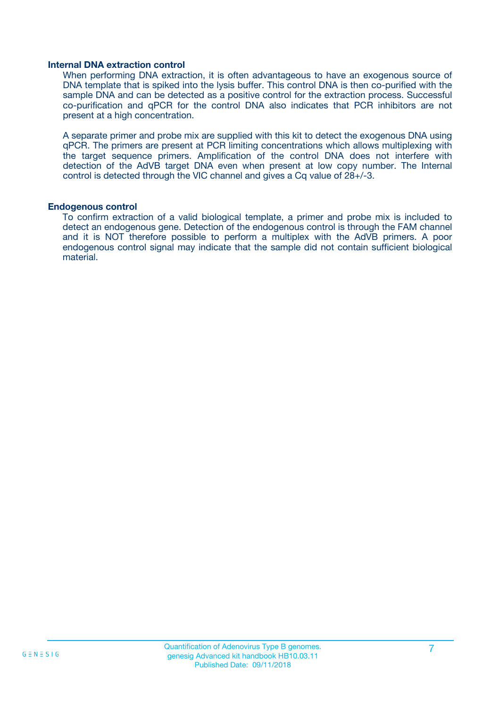#### **Internal DNA extraction control**

When performing DNA extraction, it is often advantageous to have an exogenous source of DNA template that is spiked into the lysis buffer. This control DNA is then co-purified with the sample DNA and can be detected as a positive control for the extraction process. Successful co-purification and qPCR for the control DNA also indicates that PCR inhibitors are not present at a high concentration.

A separate primer and probe mix are supplied with this kit to detect the exogenous DNA using qPCR. The primers are present at PCR limiting concentrations which allows multiplexing with the target sequence primers. Amplification of the control DNA does not interfere with detection of the AdVB target DNA even when present at low copy number. The Internal control is detected through the VIC channel and gives a Cq value of 28+/-3.

#### **Endogenous control**

To confirm extraction of a valid biological template, a primer and probe mix is included to detect an endogenous gene. Detection of the endogenous control is through the FAM channel and it is NOT therefore possible to perform a multiplex with the AdVB primers. A poor endogenous control signal may indicate that the sample did not contain sufficient biological material.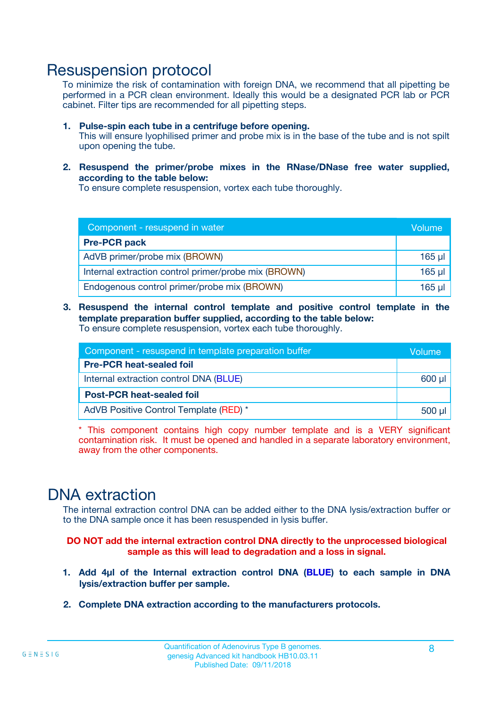### Resuspension protocol

To minimize the risk of contamination with foreign DNA, we recommend that all pipetting be performed in a PCR clean environment. Ideally this would be a designated PCR lab or PCR cabinet. Filter tips are recommended for all pipetting steps.

- **1. Pulse-spin each tube in a centrifuge before opening.** This will ensure lyophilised primer and probe mix is in the base of the tube and is not spilt upon opening the tube.
- **2. Resuspend the primer/probe mixes in the RNase/DNase free water supplied, according to the table below:**

To ensure complete resuspension, vortex each tube thoroughly.

| Component - resuspend in water                       |          |  |
|------------------------------------------------------|----------|--|
| <b>Pre-PCR pack</b>                                  |          |  |
| AdVB primer/probe mix (BROWN)                        | $165$ µl |  |
| Internal extraction control primer/probe mix (BROWN) | $165$ µl |  |
| Endogenous control primer/probe mix (BROWN)          | 165 µl   |  |

**3. Resuspend the internal control template and positive control template in the template preparation buffer supplied, according to the table below:** To ensure complete resuspension, vortex each tube thoroughly.

| Component - resuspend in template preparation buffer |  |  |  |
|------------------------------------------------------|--|--|--|
| <b>Pre-PCR heat-sealed foil</b>                      |  |  |  |
| Internal extraction control DNA (BLUE)               |  |  |  |
| <b>Post-PCR heat-sealed foil</b>                     |  |  |  |
| AdVB Positive Control Template (RED) *               |  |  |  |

\* This component contains high copy number template and is a VERY significant contamination risk. It must be opened and handled in a separate laboratory environment, away from the other components.

### DNA extraction

The internal extraction control DNA can be added either to the DNA lysis/extraction buffer or to the DNA sample once it has been resuspended in lysis buffer.

**DO NOT add the internal extraction control DNA directly to the unprocessed biological sample as this will lead to degradation and a loss in signal.**

- **1. Add 4µl of the Internal extraction control DNA (BLUE) to each sample in DNA lysis/extraction buffer per sample.**
- **2. Complete DNA extraction according to the manufacturers protocols.**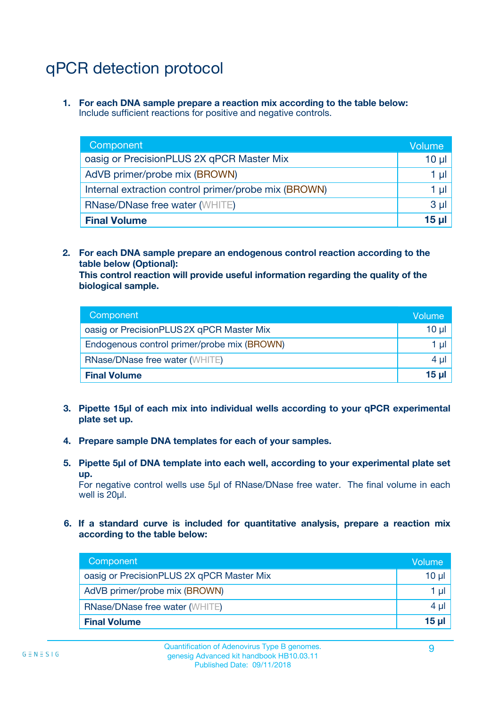# qPCR detection protocol

**1. For each DNA sample prepare a reaction mix according to the table below:** Include sufficient reactions for positive and negative controls.

| Component                                            | Volume   |
|------------------------------------------------------|----------|
| oasig or PrecisionPLUS 2X qPCR Master Mix            | 10 $\mu$ |
| AdVB primer/probe mix (BROWN)                        | 1 µl     |
| Internal extraction control primer/probe mix (BROWN) | 1 µl     |
| <b>RNase/DNase free water (WHITE)</b>                | $3 \mu$  |
| <b>Final Volume</b>                                  | 15 µl    |

**2. For each DNA sample prepare an endogenous control reaction according to the table below (Optional):**

**This control reaction will provide useful information regarding the quality of the biological sample.**

| Component                                   | Volume          |
|---------------------------------------------|-----------------|
| oasig or PrecisionPLUS 2X qPCR Master Mix   | 10 <sub>µ</sub> |
| Endogenous control primer/probe mix (BROWN) | 1 µI            |
| <b>RNase/DNase free water (WHITE)</b>       | $4 \mu$         |
| <b>Final Volume</b>                         | 15 µl           |

- **3. Pipette 15µl of each mix into individual wells according to your qPCR experimental plate set up.**
- **4. Prepare sample DNA templates for each of your samples.**
- **5. Pipette 5µl of DNA template into each well, according to your experimental plate set up.**

For negative control wells use 5µl of RNase/DNase free water. The final volume in each well is 20ul.

**6. If a standard curve is included for quantitative analysis, prepare a reaction mix according to the table below:**

| Component                                 | Volume  |
|-------------------------------------------|---------|
| oasig or PrecisionPLUS 2X qPCR Master Mix | 10 µl   |
| AdVB primer/probe mix (BROWN)             | 1 µI    |
| <b>RNase/DNase free water (WHITE)</b>     | $4 \mu$ |
| <b>Final Volume</b>                       | 15 µl   |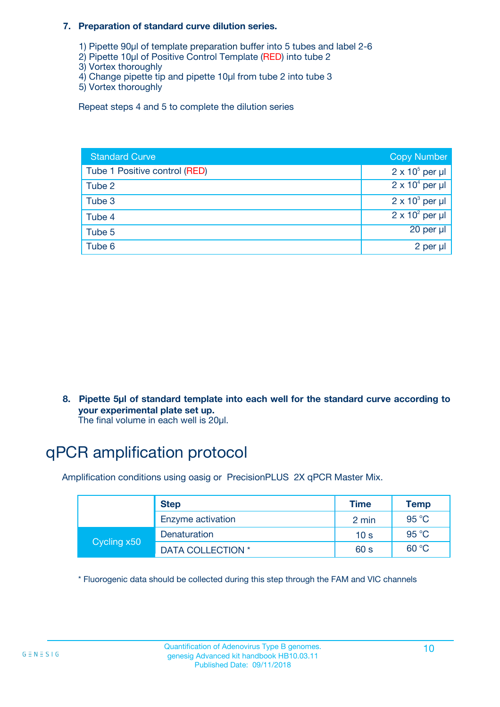#### **7. Preparation of standard curve dilution series.**

- 1) Pipette 90µl of template preparation buffer into 5 tubes and label 2-6
- 2) Pipette 10µl of Positive Control Template (RED) into tube 2
- 3) Vortex thoroughly
- 4) Change pipette tip and pipette 10µl from tube 2 into tube 3
- 5) Vortex thoroughly

Repeat steps 4 and 5 to complete the dilution series

| <b>Standard Curve</b>         | <b>Copy Number</b>     |
|-------------------------------|------------------------|
| Tube 1 Positive control (RED) | $2 \times 10^5$ per µl |
| Tube 2                        | $2 \times 10^4$ per µl |
| Tube 3                        | $2 \times 10^3$ per µl |
| Tube 4                        | $2 \times 10^2$ per µl |
| Tube 5                        | 20 per µl              |
| Tube 6                        | 2 per µl               |

**8. Pipette 5µl of standard template into each well for the standard curve according to your experimental plate set up.**

#### The final volume in each well is 20µl.

### qPCR amplification protocol

Amplification conditions using oasig or PrecisionPLUS 2X qPCR Master Mix.

|             | <b>Step</b>       | <b>Time</b>     | Temp    |
|-------------|-------------------|-----------------|---------|
|             | Enzyme activation | 2 min           | 95 °C   |
| Cycling x50 | Denaturation      | 10 <sub>s</sub> | 95 $°C$ |
|             | DATA COLLECTION * | 60 s            | 60 °C   |

\* Fluorogenic data should be collected during this step through the FAM and VIC channels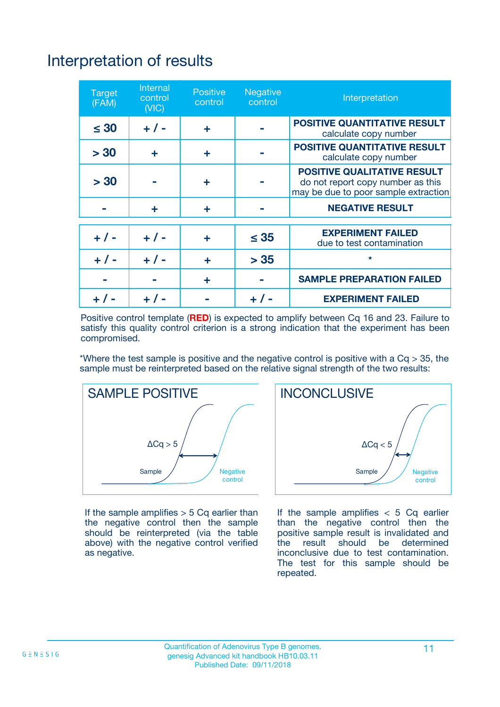# Interpretation of results

| <b>Target</b><br>(FAM) | <b>Internal</b><br>control<br>(NIC) | <b>Positive</b><br>control | <b>Negative</b><br>control | Interpretation                                                                                                  |
|------------------------|-------------------------------------|----------------------------|----------------------------|-----------------------------------------------------------------------------------------------------------------|
| $\leq 30$              | $+ 1 -$                             | ÷                          |                            | <b>POSITIVE QUANTITATIVE RESULT</b><br>calculate copy number                                                    |
| > 30                   | ٠                                   | ÷                          |                            | <b>POSITIVE QUANTITATIVE RESULT</b><br>calculate copy number                                                    |
| > 30                   |                                     | ÷                          |                            | <b>POSITIVE QUALITATIVE RESULT</b><br>do not report copy number as this<br>may be due to poor sample extraction |
|                        | ÷                                   | ÷                          |                            | <b>NEGATIVE RESULT</b>                                                                                          |
| $+ 1 -$                | $+ 1 -$                             | ÷                          | $\leq$ 35                  | <b>EXPERIMENT FAILED</b><br>due to test contamination                                                           |
| $+$ / -                | $+ 1 -$                             | ÷                          | > 35                       | $\star$                                                                                                         |
|                        |                                     | ÷                          |                            | <b>SAMPLE PREPARATION FAILED</b>                                                                                |
|                        |                                     |                            | $+$ /                      | <b>EXPERIMENT FAILED</b>                                                                                        |

Positive control template (**RED**) is expected to amplify between Cq 16 and 23. Failure to satisfy this quality control criterion is a strong indication that the experiment has been compromised.

\*Where the test sample is positive and the negative control is positive with a  $Ca > 35$ , the sample must be reinterpreted based on the relative signal strength of the two results:



If the sample amplifies  $> 5$  Cq earlier than the negative control then the sample should be reinterpreted (via the table above) with the negative control verified as negative.



If the sample amplifies  $< 5$  Cq earlier than the negative control then the positive sample result is invalidated and<br>the result should be determined  $the$  result should be inconclusive due to test contamination. The test for this sample should be repeated.